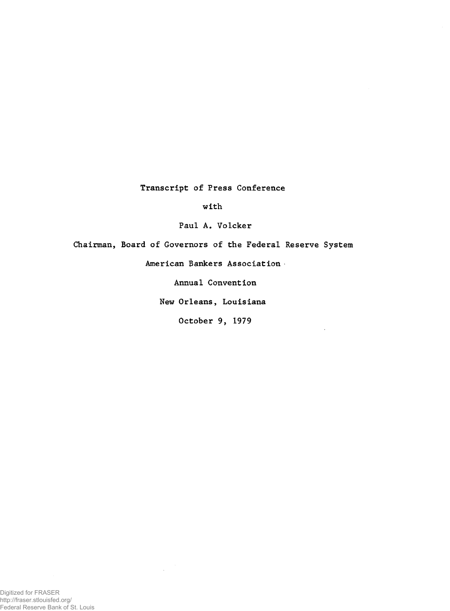**Transcript of Press Conference**

**with**

**Paul A. Volcker**

**Chairman, Board of Governors of the Federal Reserve System**

**American Bankers Association**

**Annual Convention**

**New Orleans, Louisiana**

**October 9, 1979**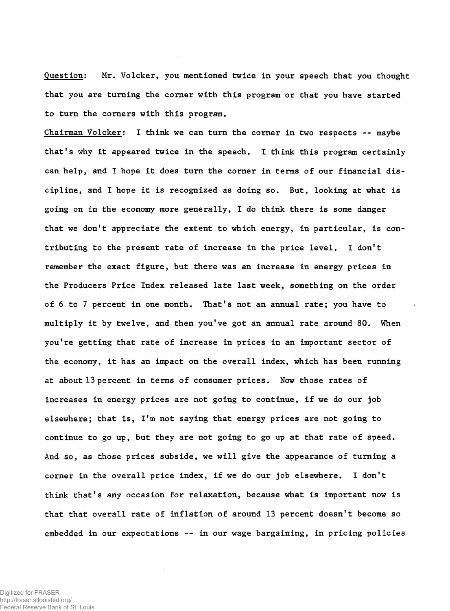**Question: Mr. Volcker, you mentioned twice in your speech that you thought that you are turning the corner with this program or that you have started to turn the corners with this program.**

**Chairman Volcker: I think we can turn the corner in two respects -- maybe that's why it appeared twice in the speech. I think this program certainly can help, and I hope it does turn the corner in terms of our financial discipline, and I hope it is recognized as doing so. But, looking at what is going on in the economy more generally, I do think there is some danger that we don<sup>f</sup>t appreciate the extent to which energy, in particular, is contributing to the present rate of increase in the price level. I don't remember the exact figure, but there was an increase in energy prices in the Producers Price Index released late last week, something on the order of 6 to 7 percent in one month. That's not an annual rate; you have to multiply it by twelve, and then you've got an annual rate around 80. When you're getting that rate of increase in prices in an important sector of the economy, it has an impact on the overall index, which has been running at about 13 percent in terms of consumer prices. Now those rates of increases in energy prices are not going to continue, if we do our job elsewhere; that is, I'm not saying that energy prices are not going to continue to go up, but they are not going to go up at that rate of speed. And so, as those prices subside, we will give the appearance of turning a corner in the overall price index, if we do our job elsewhere. I don't think that's any occasion for relaxation, because what is important now is that that overall rate of inflation of around 13 percent doesn't become so embedded in our expectations -- in our wage bargaining, in pricing policies**

Digitized for FRASER http://fraser.stlouisfed.org/ Federal Reserve Bank of St. Louis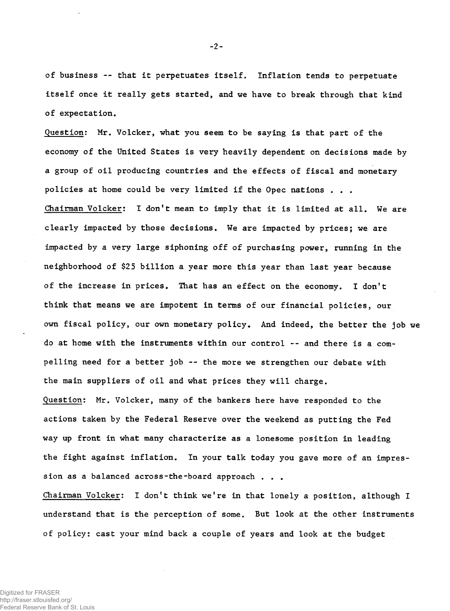**of business — that it perpetuates itself. Inflation tends to perpetuate itself once it really gets started, and we have to break through that kind of expectation.**

**Question; Mr. Volcker, what you seem to be saying is that part of the economy of the United States is very heavily dependent on decisions made by a group of oil producing countries and the effects of fiscal and monetary policies at home could be very limited if the Opec nations . . . Chairman Volcker: I don't mean to imply that it is limited at all. We are clearly impacted by those decisions. We are impacted by prices; we are impacted by a very large siphoning off of purchasing power, running in the neighborhood of \$25 billion a year more this year than last year because of the increase in prices. That has an effect on the economy. I don't think that means we are impotent in terms of our financial policies, our own fiscal policy, our own monetary policy. And indeed, the better the job we do at home with the instruments within our control -- and there is a compelling need for a better job -- the more we strengthen our debate with the main suppliers of oil and what prices they will charge.**

**Question: Mr. Volcker, many of the bankers here have responded to the actions taken by the Federal Reserve over the weekend as putting the Fed way up front in what many characterize as a lonesome position in leading the fight against inflation. In your talk today you gave more of an impression as a balanced across-the-board approach . . .**

**Chairman Volcker: I don<sup>f</sup>t think we're in that lonely a position, although I understand that is the perception of some. But look at the other instruments of policy: cast your mind back a couple of years and look at the budget**

**-2-**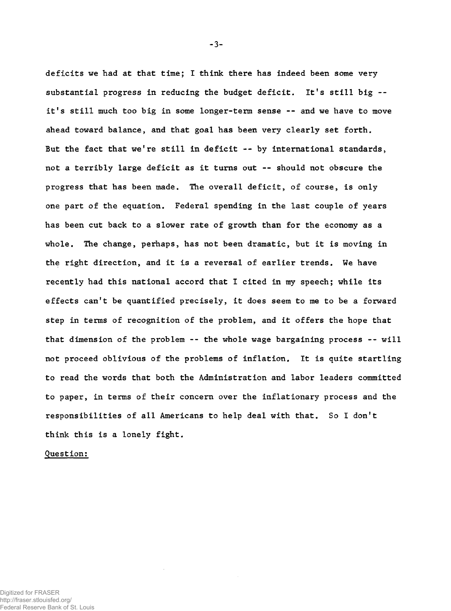**deficits we had at that time; I think there has indeed been some very substantial progress in reducing the budget deficit. It<sup>f</sup>s still big - it's still much too big in some longer-term sense -- and we have to move ahead toward balance, and that goal has been very clearly set forth. But the fact that we're still in deficit -- by international standards, not a terribly large deficit as it turns out — should not obscure the progress that has been made. The overall deficit, of course, is only one part of the equation. Federal spending in the last couple of years has been cut back to a slower rate of growth than for the economy as a whole. The change, perhaps, has not been dramatic, but it is moving in the right direction, and it is a reversal of earlier trends. We have recently had this national accord that I cited in my speech; while its effects can't be quantified precisely, it does seem to me to be a forward step in terms of recognition of the problem, and it offers the hope that that dimension of the problem -- the whole wage bargaining process — will not proceed oblivious of the problems of inflation. It is quite startling to read the words that both the Administration and labor leaders committed to paper, in terms of their concern over the inflationary process and the responsibilities of all Americans to help deal with that. So I don't think this is a lonely fight.**

**Question:**

**-3-**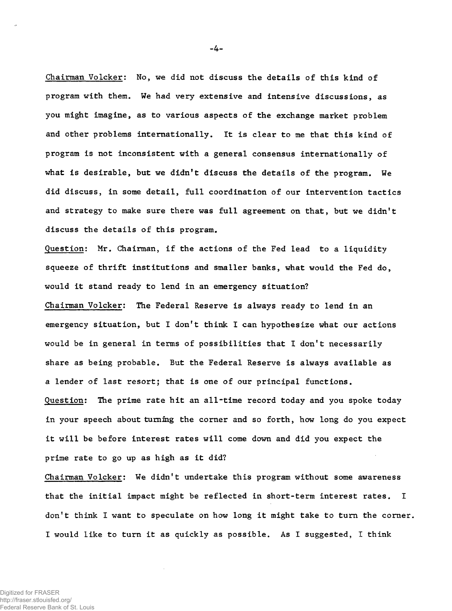**Chairman Volcker: No, we did not discuss the details of this kind of program with them. We had very extensive and intensive discussions, as you might imagine, as to various aspects of the exchange market problem and other problems internationally. It is clear to me that this kind of program is not inconsistent with a general consensus internationally of what is desirable, but we didn't discuss the details of the program. We did discuss, in some detail, full coordination of our intervention tactics and strategy to make sure there was full agreement on that, but we didn't discuss the details of this program.**

**Question: Mr. Chairman, if the actions of the Fed lead to a liquidity squeeze of thrift institutions and smaller banks, what would the Fed do, would it stand ready to lend in an emergency situation? Chairman Volcker: The Federal Reserve is always ready to lend in an emergency situation, but I don't think I can hypothesize what our actions would be in general in terms of possibilities that I don't necessarily share as being probable. But the Federal Reserve is always available as a lender of last resort; that is one of our principal functions. Question: The prime rate hit an all-time record today and you spoke today in your speech about turning the corner and so forth, how long do you expect it will be before interest rates will come down and did you expect the prime rate to go up as high as it did?**

**Chairman Volcker: We didn't undertake this program without some awareness that the initial impact might be reflected in short-term interest rates. I don't think I want to speculate on how long it might take to turn the corner. I would like to turn it as quickly as possible. As I suggested, I think**

**-4-**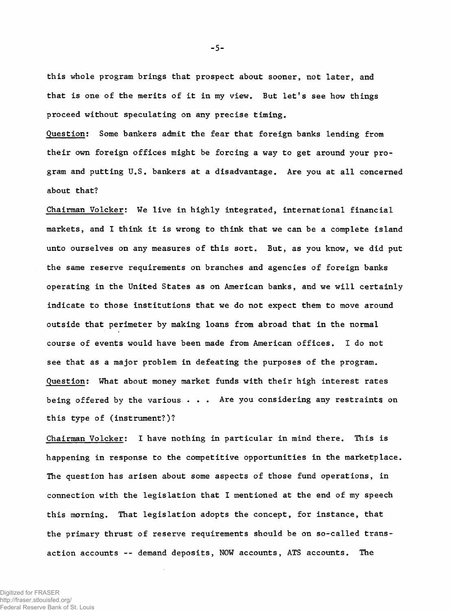**this whole program brings that prospect about sooner, not later, and that is one of the merits of it in my view. But let's see how things proceed without speculating on any precise timing.**

**Question: Some bankers admit the fear that foreign banks lending from their own foreign offices might be forcing a way to get around your program and putting U.S. bankers at a disadvantage. Are you at all concerned about that?**

**Chairman Volcker: We live in highly integrated, international financial markets, and I think it is wrong to think that we can be a complete island unto ourselves on any measures of this sort. But, as you know, we did put the same reserve requirements on branches and agencies of foreign banks operating in the United States as on American banks, and we will certainly indicate to those institutions that we do not expect them to move around outside that perimeter by making loans from abroad that in the normal course of events would have been made from American offices. I do not see that as a major problem in defeating the purposes of the program. Question: What about money market funds with their high interest rates being offered by the various . . . Are you considering any restraints on this type of (instrument?)?**

**Chairman Volcker: I have nothing in particular in mind there. This is happening in response to the competitive opportunities in the marketplace. The question has arisen about some aspects of those fund operations, in connection with the legislation that I mentioned at the end of my speech this morning. That legislation adopts the concept, for instance, that the primary thrust of reserve requirements should be on so-called transaction accounts -- demand deposits, NOW accounts, ATS accounts. The**

Digitized for FRASER http://fraser.stlouisfed.org/ Federal Reserve Bank of St. Louis **-5-**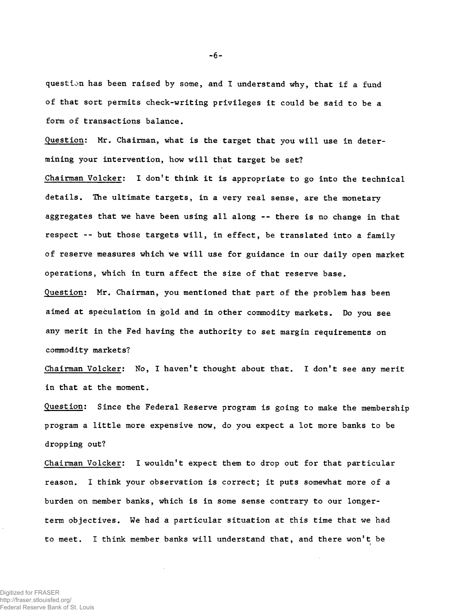**question has been raised by some, and I understand why, that if a fund of that sort permits check-writing privileges it could be said to be a form of transactions balance.**

**Question: Mr. Chairman, what is the target that you will use in determining your intervention, how will that target be set? Chairman Volcker: I don<sup>f</sup>t think it is appropriate to go into the technical details. The ultimate targets, in a very real sense, are the monetary aggregates that we have been using all along -- there is no change in that respect -- but those targets will, in effect, be translated into a family of reserve measures which we will use for guidance in our daily open market operations, which in turn affect the size of that reserve base. Question: Mr. Chairman, you mentioned that part of the problem has been aimed at speculation in gold and in other commodity markets. Do you see any merit in the Fed having the authority to set margin requirements on**

**commodity markets?**

**Chairman Volcker: No, I haven't thought about that. I don't see any merit in that at the moment.**

**Question: Since the Federal Reserve program is going to make the membership program a little more expensive now, do you expect a lot more banks to be dropping out?**

**Chairman Volcker: I wouldn't expect them to drop out for that particular reason. I think your observation is correct; it puts somewhat more of a burden on member banks, which is in some sense contrary to our longerterm objectives. We had a particular situation at this time that we had to meet. I think member banks will understand that, and there won't be**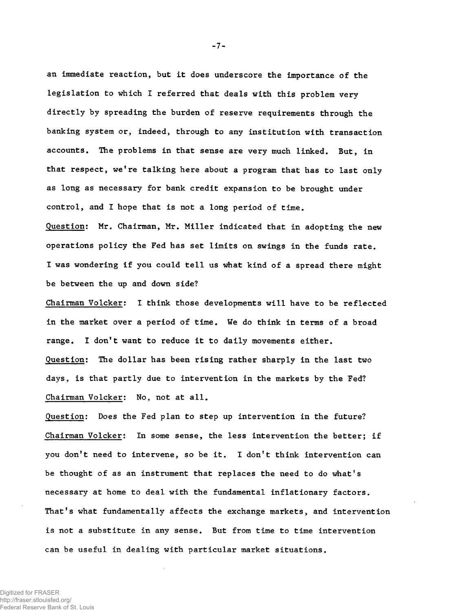**an immediate reaction, but it does underscore the importance of the legislation to which I referred that deals with this problem very directly by spreading the burden of reserve requirements through the banking system or, indeed, through to any institution with transaction accounts. The problems in that sense are very much linked. But, in that respect, we're talking here about a program that has to last only as long as necessary for bank credit expansion to be brought under control, and I hope that is not a long period of time.**

**Question: Mr. Chairman, Mr. Miller indicated that in adopting the new operations policy the Fed has set limits on swings in the funds rate. I was wondering if you could tell us what kind of a spread there might be between the up and down side?**

**Chairman Volcker: I think those developments will have to be reflected in the market over a period of time. We do think in terms of a broad range. I don't want to reduce it to daily movements either. Question: The dollar has been rising rather sharply in the last two days, is that partly due to intervention in the markets by the Fed? Chairman Volcker: No, not at all.**

**Question: Does the Fed plan to step up intervention in the future? Chairman Volcker: In some sense, the less intervention the better; if you don't need to intervene, so be it. I don't think intervention can be thought of as an instrument that replaces the need to do what's necessary at home to deal with the fundamental inflationary factors. That's what fundamentally affects the exchange markets, and intervention is not a substitute in any sense. But from time to time intervention can be useful in dealing with particular market situations.**

Digitized for FRASER http://fraser.stlouisfed.org/ Federal Reserve Bank of St. Louis **-7-**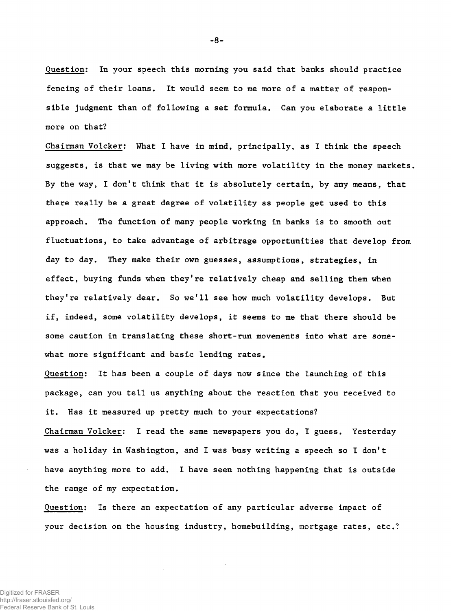**Question: In your speech this morning you said that banks should practice fencing of their loans. It would seem to me more of a matter of responsible judgment than of following a set formula. Can you elaborate a little more on that?**

**Chairman Volcker: What I have in mind, principally, as I think the speech suggests, is that we may be living with more volatility in the money markets. By the way, I don<sup>f</sup>t think that it is absolutely certain, by any means, that there really be a great degree of volatility as people get used to this approach. The function of many people working in banks is to smooth out fluctuations, to take advantage of arbitrage opportunities that develop from day to day. They make their own guesses, assumptions, strategies, in effect, buying funds when they're relatively cheap and selling them when they're relatively dear. So we'll see how much volatility develops. But if, indeed, some volatility develops, it seems to me that there should be some caution in translating these short-run movements into what are somewhat more significant and basic lending rates.**

**Question: It has been a couple of days now since the launching of this package, can you tell us anything about the reaction that you received to it. Has it measured up pretty much to your expectations?**

**Chairman Volcker: I read the same newspapers you do, I guess. Yesterday was a holiday in Washington, and I was busy writing a speech so I don't have anything more to add. I have seen nothing happening that is outside the range of my expectation.**

**Question: Is there an expectation of any particular adverse impact of your decision on the housing industry, homebuilding, mortgage rates, etc.?**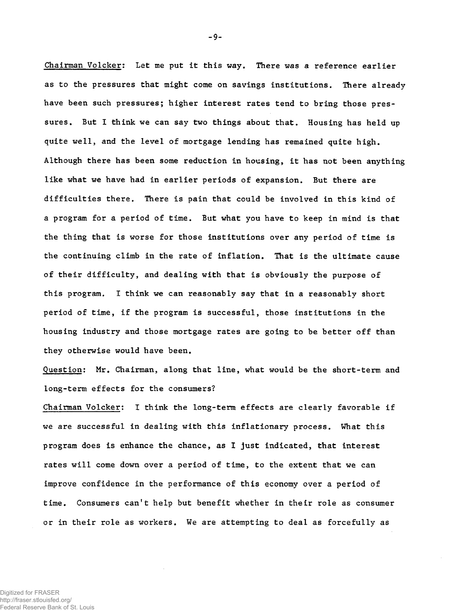**Chairman Volcker: Let me put it this way. There was a reference earlier as to the pressures that might come on savings institutions. There already have been such pressures; higher interest rates tend to bring those pressures. But I think we can say two things about that. Housing has held up quite well, and the level of mortgage lending has remained quite high. Although there has been some reduction in housing, it has not been anything like what we have had in earlier periods of expansion. But there are difficulties there. There is pain that could be involved in this kind of a program for a period of time. But what you have to keep in mind is that the thing that is worse for those institutions over any period of time is the continuing climb in the rate of inflation. That is the ultimate cause of their difficulty, and dealing with that is obviously the purpose of this program. I think we can reasonably say that in a reasonably short period of time, if the program is successful, those institutions in the housing industry and those mortgage rates are going to be better off than they otherwise would have been.**

**Question: Mr. Chairman, along that line, what would be the short-term and long-term effects for the consumers?**

**Chairman Volcker: I think the long-term effects are clearly favorable if we are successful in dealing with this inflationary process. What this program does is enhance the chance, as I just indicated, that interest rates will come down over a period of time, to the extent that we can improve confidence in the performance of this economy over a period of time. Consumers can't help but benefit whether in their role as consumer or in their role as workers. We are attempting to deal as forcefully as**

**-9-**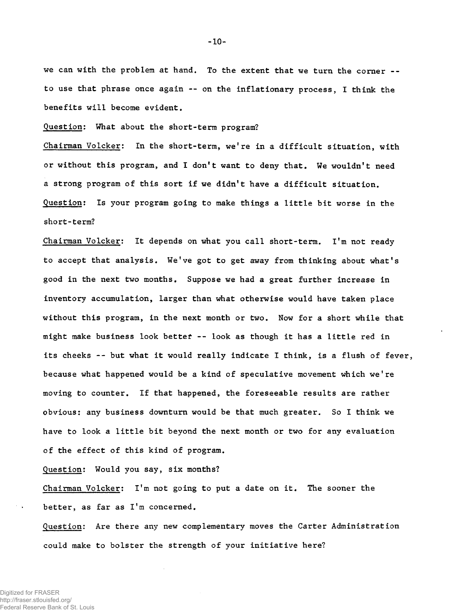**we can with the problem at hand. To the extent that we turn the corner - to use that phrase once again -- on the inflationary process, I think the benefits will become evident.**

**Question; What about the short-term program?**

**Chairman Volcker; In the short-term, we're in a difficult situation, with or without this program, and I don't want to deny that. We wouldn't need a strong program of this sort if we didn't have a difficult situation. Question: Is your program going to make things a little bit worse in the short-term?**

**Chairman Volcker; It depends on what you call short-term. I'm not ready to accept that analysis. We've got to get away from thinking about what's good in the next two months. Suppose we had a great further increase in inventory accumulation, larger than what otherwise would have taken place without this program, in the next month or two. Now for a short while that might make business look bettef -- look as though it has a little red in its cheeks -- but what it would really indicate I think, is a flush of fever, because what happened would be a kind of speculative movement which we're moving to counter. If that happened, the foreseeable results are rather obvious: any business downturn would be that much greater. So I think we have to look a little bit beyond the next month or two for any evaluation of the effect of this kind of program.**

**Question: Would you say, six months?**

**Chairman Volcker: I'm not going to put a date on it. The sooner the better, as far as I'm concerned.**

**Question: Are there any new complementary moves the Carter Administration could make to bolster the strength of your initiative here?**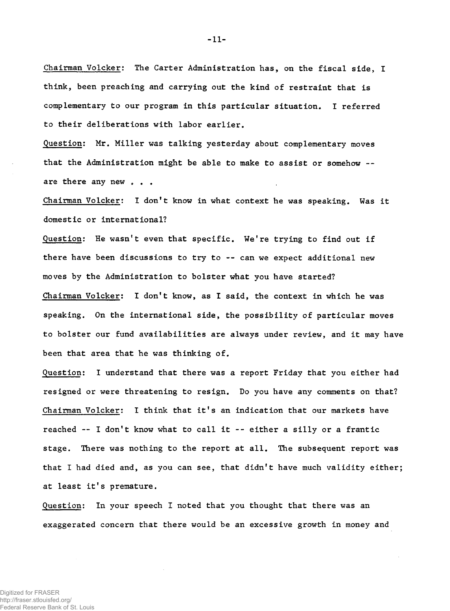**Chairman Volcker: The Carter Administration has, on the fiscal side, I think, been preaching and carrying out the kind of restraint that is complementary to our program in this particular situation. I referred to their deliberations with labor earlier.**

**Question: Mr. Miller was talking yesterday about complementary moves that the Administration might be able to make to assist or somehow -** are there any new . . .

**Chairman Volcker: I don't know in what context he was speaking. Was it domestic or international?**

**Question: He wasn't even that specific. We're trying to find out if there have been discussions to try to -- can we expect additional new moves by the Administration to bolster what you have started? Chairman Volcker: I don't know, as I said, the context in which he was speaking. On the international side, the possibility of particular moves to bolster our fund availabilities are always under review, and it may have been that area that he was thinking of.**

**Question: I understand that there was a report Friday that you either had resigned or were threatening to resign. Do you have any comments on that? Chairman Volcker: I think that it's an indication that our markets have reached — I don't know what to call it -- either a silly or a frantic stage. There was nothing to the report at all. The subsequent report was that I had died and, as you can see, that didn't have much validity either; at least it's premature.**

**Question: In your speech I noted that you thought that there was an exaggerated concern that there would be an excessive growth in money and**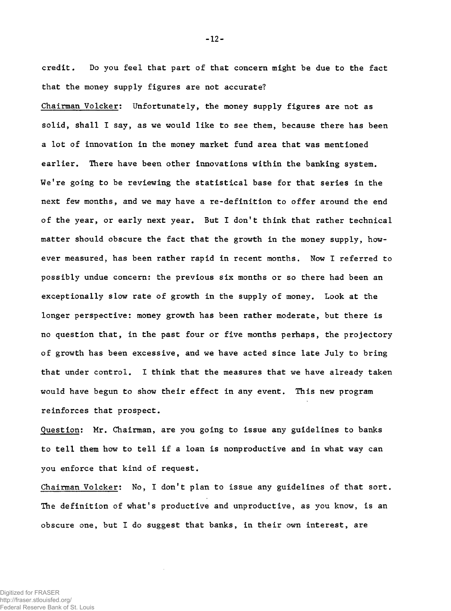**credit. Do you feel that part of that concern might be due to the fact that the money supply figures are not accurate?**

**Chairman Volcker: Unfortunately, the money supply figures are not as solid, shall I say, as we would like to see them, because there has been a lot of innovation in the money market fund area that was mentioned earlier. There have been other innovations within the banking system. We're going to be reviewing the statistical base for that series in the next few months, and we may have a re-definition to offer around the end of the year, or early next year. But I don't think that rather technical matter should obscure the fact that the growth in the money supply, however measured, has been rather rapid in recent months. Now I referred to possibly undue concern: the previous six months or so there had been an exceptionally slow rate of growth in the supply of money. Look at the longer perspective: money growth has been rather moderate, but there is no question that, in the past four or five months perhaps, the projectory of growth has been excessive, and we have acted since late July to bring that under control. I think that the measures that we have already taken would have begun to show their effect in any event. This new program reinforces that prospect.**

**Question: Mr. Chairman, are you going to issue any guidelines to banks to tell them how to tell if a loan is nonproductive and in what way can you enforce that kind of request.**

**Chairman Volcker: No, I don't plan to issue any guidelines of that sort. The definition of what's productive and unproductive, as you know, is an obscure one, but I do suggest that banks, in their own interest, are**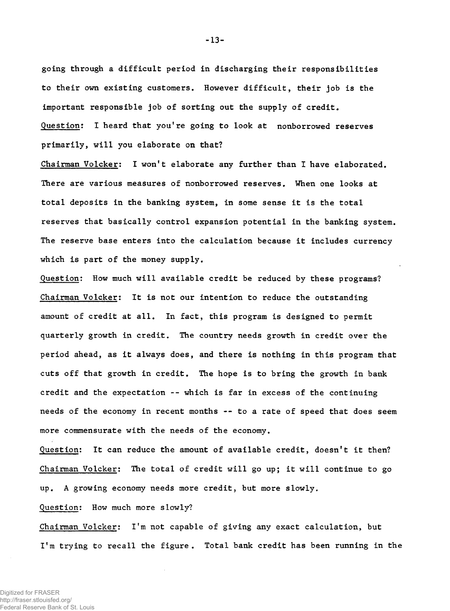**going through a difficult period in discharging their responsibilities to their own existing customers. However difficult, their job is the important responsible job of sorting out the supply of credit. Question: I heard that you're going to look at nonborrowed reserves primarily, will you elaborate on that?**

**Chairman Volcker: I won't elaborate any further than I have elaborated. There are various measures of nonborrowed reserves. When one looks at total deposits in the banking system, in some sense it is the total reserves that basically control expansion potential in the banking system. The reserve base enters into the calculation because it includes currency which is part of the money supply.**

**Question: How much will available credit be reduced by these programs? Chairman Volcker: It is not our intention to reduce the outstanding amount of credit at all. In fact, this program is designed to permit quarterly growth in credit. The country needs growth in credit over the period ahead, as it always does, and there is nothing in this program that cuts off that growth in credit. The hope is to bring the growth in bank credit and the expectation -- which is far in excess of the continuing needs of the economy in recent months -- to a rate of speed that does seem more commensurate with the needs of the economy.**

**Question: It can reduce the amount of available credit, doesn't it then? Chairman Volcker: The total of credit will go up; it will continue to go up. A growing economy needs more credit, but more slowly.**

**Question: How much more slowly?**

**Chairman Volcker: I'm not capable of giving any exact calculation, but I'm trying to recall the figure. Total bank credit has been running in the**